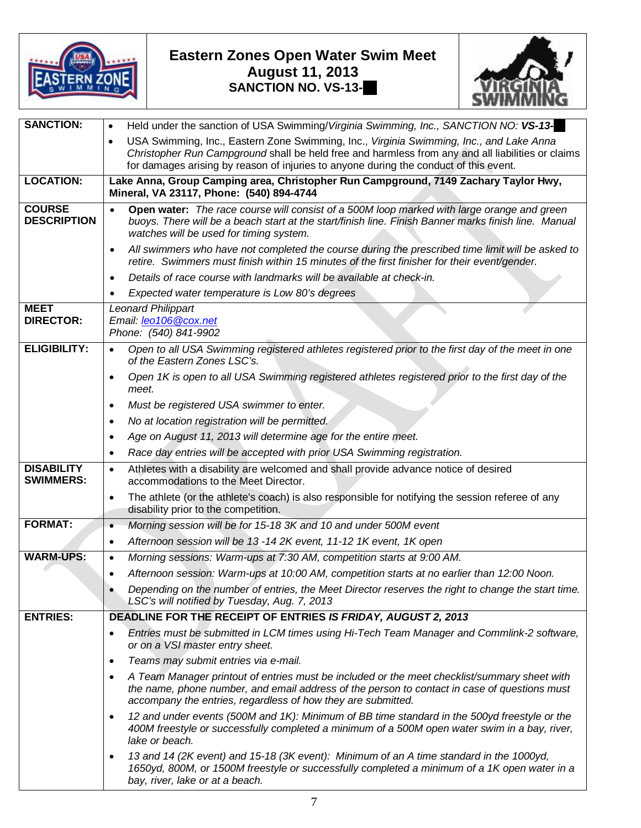

## **Eastern Zones Open Water Swim Meet August 11, 2013 SANCTION NO. VS-13-78**



| <b>SANCTION:</b>                      | Held under the sanction of USA Swimming/Virginia Swimming, Inc., SANCTION NO: VS-13-<br>$\bullet$                                                                                                                                                                         |  |  |  |  |
|---------------------------------------|---------------------------------------------------------------------------------------------------------------------------------------------------------------------------------------------------------------------------------------------------------------------------|--|--|--|--|
|                                       | USA Swimming, Inc., Eastern Zone Swimming, Inc., Virginia Swimming, Inc., and Lake Anna<br>$\bullet$                                                                                                                                                                      |  |  |  |  |
|                                       | Christopher Run Campground shall be held free and harmless from any and all liabilities or claims<br>for damages arising by reason of injuries to anyone during the conduct of this event.                                                                                |  |  |  |  |
| <b>LOCATION:</b>                      |                                                                                                                                                                                                                                                                           |  |  |  |  |
|                                       | Lake Anna, Group Camping area, Christopher Run Campground, 7149 Zachary Taylor Hwy,<br>Mineral, VA 23117, Phone: (540) 894-4744                                                                                                                                           |  |  |  |  |
| <b>COURSE</b><br><b>DESCRIPTION</b>   | Open water: The race course will consist of a 500M loop marked with large orange and green<br>$\bullet$<br>buoys. There will be a beach start at the start/finish line. Finish Banner marks finish line. Manual<br>watches will be used for timing system.                |  |  |  |  |
|                                       | All swimmers who have not completed the course during the prescribed time limit will be asked to<br>$\bullet$<br>retire. Swimmers must finish within 15 minutes of the first finisher for their event/gender.                                                             |  |  |  |  |
|                                       | Details of race course with landmarks will be available at check-in.<br>$\bullet$                                                                                                                                                                                         |  |  |  |  |
|                                       | Expected water temperature is Low 80's degrees                                                                                                                                                                                                                            |  |  |  |  |
| <b>MEET</b><br><b>DIRECTOR:</b>       | <b>Leonard Philippart</b><br>Email: leo106@cox.net<br>Phone: (540) 841-9902                                                                                                                                                                                               |  |  |  |  |
| <b>ELIGIBILITY:</b>                   | Open to all USA Swimming registered athletes registered prior to the first day of the meet in one<br>$\bullet$<br>of the Eastern Zones LSC's.                                                                                                                             |  |  |  |  |
|                                       | Open 1K is open to all USA Swimming registered athletes registered prior to the first day of the<br>$\bullet$<br>meet.                                                                                                                                                    |  |  |  |  |
|                                       | Must be registered USA swimmer to enter.<br>$\bullet$                                                                                                                                                                                                                     |  |  |  |  |
|                                       | No at location registration will be permitted.<br>$\bullet$                                                                                                                                                                                                               |  |  |  |  |
|                                       | Age on August 11, 2013 will determine age for the entire meet.<br>$\bullet$                                                                                                                                                                                               |  |  |  |  |
|                                       | Race day entries will be accepted with prior USA Swimming registration.<br>$\bullet$                                                                                                                                                                                      |  |  |  |  |
| <b>DISABILITY</b><br><b>SWIMMERS:</b> | Athletes with a disability are welcomed and shall provide advance notice of desired<br>$\bullet$<br>accommodations to the Meet Director.                                                                                                                                  |  |  |  |  |
|                                       | The athlete (or the athlete's coach) is also responsible for notifying the session referee of any<br>$\bullet$<br>disability prior to the competition.                                                                                                                    |  |  |  |  |
| <b>FORMAT:</b>                        | Morning session will be for 15-18 3K and 10 and under 500M event<br>$\bullet$                                                                                                                                                                                             |  |  |  |  |
|                                       | Afternoon session will be 13 -14 2K event, 11-12 1K event, 1K open<br>$\bullet$                                                                                                                                                                                           |  |  |  |  |
| <b>WARM-UPS:</b>                      | Morning sessions: Warm-ups at 7:30 AM, competition starts at 9:00 AM.<br>$\bullet$                                                                                                                                                                                        |  |  |  |  |
|                                       | Afternoon session: Warm-ups at 10:00 AM, competition starts at no earlier than 12:00 Noon.<br>$\bullet$                                                                                                                                                                   |  |  |  |  |
|                                       | Depending on the number of entries, the Meet Director reserves the right to change the start time.<br>LSC's will notified by Tuesday, Aug. 7, 2013                                                                                                                        |  |  |  |  |
| <b>ENTRIES:</b>                       | DEADLINE FOR THE RECEIPT OF ENTRIES IS FRIDAY, AUGUST 2, 2013                                                                                                                                                                                                             |  |  |  |  |
|                                       | Entries must be submitted in LCM times using Hi-Tech Team Manager and Commlink-2 software,<br>$\bullet$<br>or on a VSI master entry sheet.                                                                                                                                |  |  |  |  |
|                                       | Teams may submit entries via e-mail.<br>$\bullet$                                                                                                                                                                                                                         |  |  |  |  |
|                                       | A Team Manager printout of entries must be included or the meet checklist/summary sheet with<br>$\bullet$<br>the name, phone number, and email address of the person to contact in case of questions must<br>accompany the entries, regardless of how they are submitted. |  |  |  |  |
|                                       | 12 and under events (500M and 1K): Minimum of BB time standard in the 500yd freestyle or the<br>$\bullet$<br>400M freestyle or successfully completed a minimum of a 500M open water swim in a bay, river,<br>lake or beach.                                              |  |  |  |  |
|                                       | 13 and 14 (2K event) and 15-18 (3K event): Minimum of an A time standard in the 1000yd,<br>$\bullet$<br>1650yd, 800M, or 1500M freestyle or successfully completed a minimum of a 1K open water in a<br>bay, river, lake or at a beach.                                   |  |  |  |  |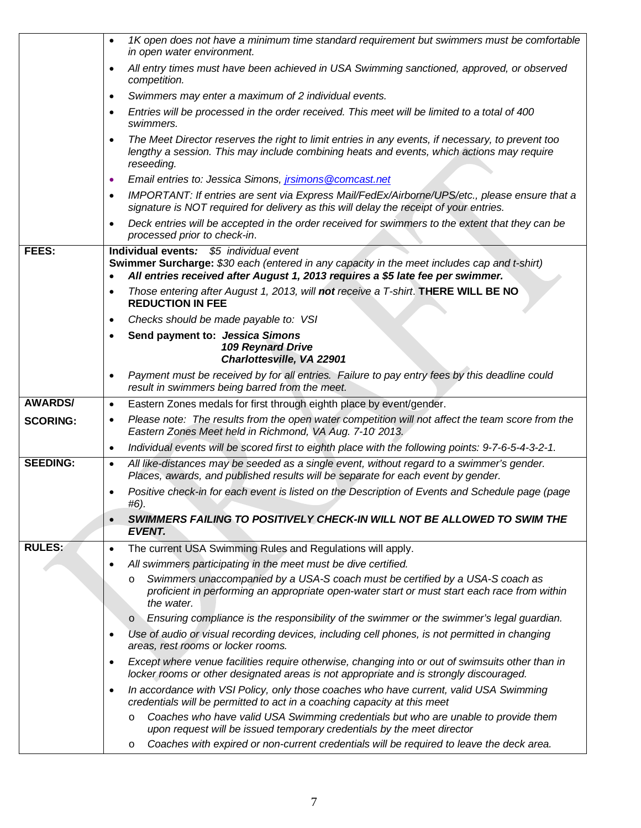|                 | 1K open does not have a minimum time standard requirement but swimmers must be comfortable<br>$\bullet$<br>in open water environment.                                                                                     |
|-----------------|---------------------------------------------------------------------------------------------------------------------------------------------------------------------------------------------------------------------------|
|                 | All entry times must have been achieved in USA Swimming sanctioned, approved, or observed<br>٠<br>competition.                                                                                                            |
|                 | Swimmers may enter a maximum of 2 individual events.<br>$\bullet$                                                                                                                                                         |
|                 | Entries will be processed in the order received. This meet will be limited to a total of 400<br>$\bullet$<br>swimmers.                                                                                                    |
|                 | The Meet Director reserves the right to limit entries in any events, if necessary, to prevent too<br>$\bullet$<br>lengthy a session. This may include combining heats and events, which actions may require<br>reseeding. |
|                 | Email entries to: Jessica Simons, <i>jrsimons</i> @comcast.net<br>٠                                                                                                                                                       |
|                 | IMPORTANT: If entries are sent via Express Mail/FedEx/Airborne/UPS/etc., please ensure that a<br>$\bullet$<br>signature is NOT required for delivery as this will delay the receipt of your entries.                      |
|                 | Deck entries will be accepted in the order received for swimmers to the extent that they can be<br>$\bullet$<br>processed prior to check-in.                                                                              |
| <b>FEES:</b>    | Individual events: \$5 individual event<br>Swimmer Surcharge: \$30 each (entered in any capacity in the meet includes cap and t-shirt)<br>All entries received after August 1, 2013 requires a \$5 late fee per swimmer.  |
|                 | Those entering after August 1, 2013, will not receive a T-shirt. THERE WILL BE NO<br>$\bullet$<br><b>REDUCTION IN FEE</b>                                                                                                 |
|                 | Checks should be made payable to: VSI<br>٠                                                                                                                                                                                |
|                 | Send payment to: Jessica Simons<br>$\bullet$<br><b>109 Reynard Drive</b><br>Charlottesville, VA 22901                                                                                                                     |
|                 | Payment must be received by for all entries. Failure to pay entry fees by this deadline could<br>$\bullet$<br>result in swimmers being barred from the meet.                                                              |
| <b>AWARDS/</b>  | Eastern Zones medals for first through eighth place by event/gender.<br>$\bullet$                                                                                                                                         |
| <b>SCORING:</b> | Please note: The results from the open water competition will not affect the team score from the<br>$\bullet$<br>Eastern Zones Meet held in Richmond, VA Aug. 7-10 2013.                                                  |
|                 | Individual events will be scored first to eighth place with the following points: 9-7-6-5-4-3-2-1.<br>$\bullet$                                                                                                           |
| <b>SEEDING:</b> | All like-distances may be seeded as a single event, without regard to a swimmer's gender.<br>$\bullet$<br>Places, awards, and published results will be separate for each event by gender.                                |
|                 | Positive check-in for each event is listed on the Description of Events and Schedule page (page<br>$\bullet$<br>#6).                                                                                                      |
|                 | SWIMMERS FAILING TO POSITIVELY CHECK-IN WILL NOT BE ALLOWED TO SWIM THE<br>$\bullet$<br><b>EVENT.</b>                                                                                                                     |
| <b>RULES:</b>   | The current USA Swimming Rules and Regulations will apply.<br>$\bullet$                                                                                                                                                   |
|                 | All swimmers participating in the meet must be dive certified.<br>$\bullet$                                                                                                                                               |
|                 | Swimmers unaccompanied by a USA-S coach must be certified by a USA-S coach as<br>$\circ$<br>proficient in performing an appropriate open-water start or must start each race from within<br>the water.                    |
|                 | Ensuring compliance is the responsibility of the swimmer or the swimmer's legal guardian.<br>$\circ$                                                                                                                      |
|                 | Use of audio or visual recording devices, including cell phones, is not permitted in changing<br>٠<br>areas, rest rooms or locker rooms.                                                                                  |
|                 | Except where venue facilities require otherwise, changing into or out of swimsuits other than in<br>$\bullet$<br>locker rooms or other designated areas is not appropriate and is strongly discouraged.                   |
|                 | In accordance with VSI Policy, only those coaches who have current, valid USA Swimming<br>٠<br>credentials will be permitted to act in a coaching capacity at this meet                                                   |
|                 | Coaches who have valid USA Swimming credentials but who are unable to provide them<br>$\circ$<br>upon request will be issued temporary credentials by the meet director                                                   |
|                 | Coaches with expired or non-current credentials will be required to leave the deck area.<br>$\circ$                                                                                                                       |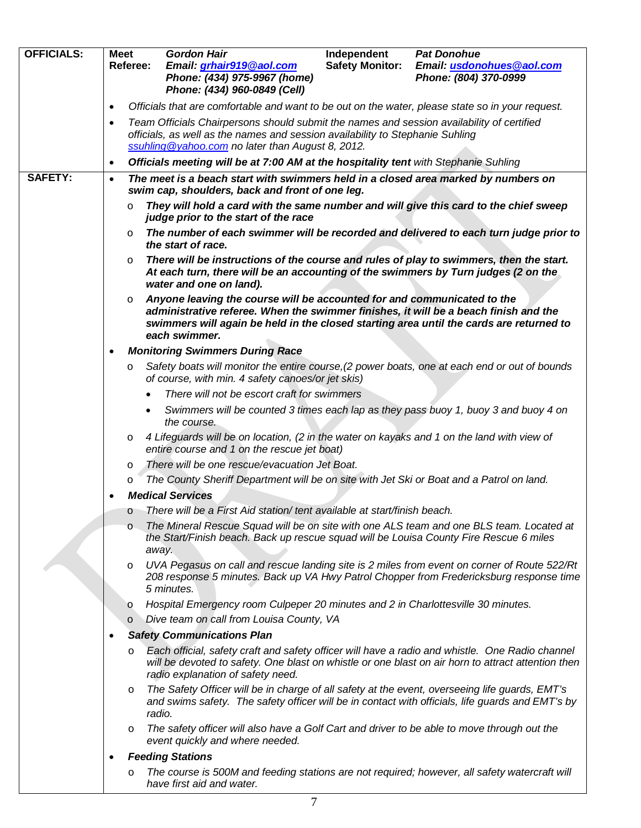| <b>OFFICIALS:</b> | <b>Meet</b>                                                                                                                                                                                                                                  | Referee: | <b>Gordon Hair</b><br>Email: grhair919@aol.com<br>Phone: (434) 975-9967 (home)                                                                                                                                                                                              | Independent<br><b>Safety Monitor:</b> | <b>Pat Donohue</b><br>Email: usdonohues@aol.com<br>Phone: (804) 370-0999                                                                                                                              |
|-------------------|----------------------------------------------------------------------------------------------------------------------------------------------------------------------------------------------------------------------------------------------|----------|-----------------------------------------------------------------------------------------------------------------------------------------------------------------------------------------------------------------------------------------------------------------------------|---------------------------------------|-------------------------------------------------------------------------------------------------------------------------------------------------------------------------------------------------------|
|                   |                                                                                                                                                                                                                                              |          | Phone: (434) 960-0849 (Cell)                                                                                                                                                                                                                                                |                                       |                                                                                                                                                                                                       |
|                   | $\bullet$                                                                                                                                                                                                                                    |          | Officials that are comfortable and want to be out on the water, please state so in your request.                                                                                                                                                                            |                                       |                                                                                                                                                                                                       |
|                   | Team Officials Chairpersons should submit the names and session availability of certified<br>$\bullet$<br>officials, as well as the names and session availability to Stephanie Suhling<br>ssuhling @yahoo.com no later than August 8, 2012. |          |                                                                                                                                                                                                                                                                             |                                       |                                                                                                                                                                                                       |
|                   | $\bullet$                                                                                                                                                                                                                                    |          | Officials meeting will be at 7:00 AM at the hospitality tent with Stephanie Suhling                                                                                                                                                                                         |                                       |                                                                                                                                                                                                       |
| <b>SAFETY:</b>    | $\bullet$                                                                                                                                                                                                                                    |          | The meet is a beach start with swimmers held in a closed area marked by numbers on<br>swim cap, shoulders, back and front of one leg.                                                                                                                                       |                                       |                                                                                                                                                                                                       |
|                   |                                                                                                                                                                                                                                              | $\circ$  | They will hold a card with the same number and will give this card to the chief sweep<br>judge prior to the start of the race                                                                                                                                               |                                       |                                                                                                                                                                                                       |
|                   |                                                                                                                                                                                                                                              | O        | the start of race.                                                                                                                                                                                                                                                          |                                       | The number of each swimmer will be recorded and delivered to each turn judge prior to                                                                                                                 |
|                   |                                                                                                                                                                                                                                              | $\circ$  | There will be instructions of the course and rules of play to swimmers, then the start.<br>At each turn, there will be an accounting of the swimmers by Turn judges (2 on the<br>water and one on land).                                                                    |                                       |                                                                                                                                                                                                       |
|                   |                                                                                                                                                                                                                                              | $\circ$  | Anyone leaving the course will be accounted for and communicated to the<br>administrative referee. When the swimmer finishes, it will be a beach finish and the<br>swimmers will again be held in the closed starting area until the cards are returned to<br>each swimmer. |                                       |                                                                                                                                                                                                       |
|                   | ٠                                                                                                                                                                                                                                            |          | <b>Monitoring Swimmers During Race</b>                                                                                                                                                                                                                                      |                                       |                                                                                                                                                                                                       |
|                   |                                                                                                                                                                                                                                              | O        | Safety boats will monitor the entire course, (2 power boats, one at each end or out of bounds<br>of course, with min. 4 safety canoes/or jet skis)                                                                                                                          |                                       |                                                                                                                                                                                                       |
|                   |                                                                                                                                                                                                                                              |          | There will not be escort craft for swimmers                                                                                                                                                                                                                                 |                                       |                                                                                                                                                                                                       |
|                   |                                                                                                                                                                                                                                              |          | Swimmers will be counted 3 times each lap as they pass buoy 1, buoy 3 and buoy 4 on<br>the course.                                                                                                                                                                          |                                       |                                                                                                                                                                                                       |
|                   |                                                                                                                                                                                                                                              | $\circ$  | 4 Lifeguards will be on location, (2 in the water on kayaks and 1 on the land with view of<br>entire course and 1 on the rescue jet boat)                                                                                                                                   |                                       |                                                                                                                                                                                                       |
|                   |                                                                                                                                                                                                                                              | O        | There will be one rescue/evacuation Jet Boat.                                                                                                                                                                                                                               |                                       |                                                                                                                                                                                                       |
|                   |                                                                                                                                                                                                                                              | $\circ$  | The County Sheriff Department will be on site with Jet Ski or Boat and a Patrol on land.                                                                                                                                                                                    |                                       |                                                                                                                                                                                                       |
|                   |                                                                                                                                                                                                                                              |          | <b>Medical Services</b>                                                                                                                                                                                                                                                     |                                       |                                                                                                                                                                                                       |
|                   |                                                                                                                                                                                                                                              | $\circ$  | There will be a First Aid station/tent available at start/finish beach.                                                                                                                                                                                                     |                                       |                                                                                                                                                                                                       |
|                   |                                                                                                                                                                                                                                              | $\circ$  | the Start/Finish beach. Back up rescue squad will be Louisa County Fire Rescue 6 miles<br>away.                                                                                                                                                                             |                                       | The Mineral Rescue Squad will be on site with one ALS team and one BLS team. Located at                                                                                                               |
|                   |                                                                                                                                                                                                                                              | $\circ$  | 5 minutes.                                                                                                                                                                                                                                                                  |                                       | UVA Pegasus on call and rescue landing site is 2 miles from event on corner of Route 522/Rt<br>208 response 5 minutes. Back up VA Hwy Patrol Chopper from Fredericksburg response time                |
|                   |                                                                                                                                                                                                                                              | $\circ$  | Hospital Emergency room Culpeper 20 minutes and 2 in Charlottesville 30 minutes.                                                                                                                                                                                            |                                       |                                                                                                                                                                                                       |
|                   |                                                                                                                                                                                                                                              | $\circ$  | Dive team on call from Louisa County, VA                                                                                                                                                                                                                                    |                                       |                                                                                                                                                                                                       |
|                   |                                                                                                                                                                                                                                              |          | <b>Safety Communications Plan</b>                                                                                                                                                                                                                                           |                                       |                                                                                                                                                                                                       |
|                   |                                                                                                                                                                                                                                              | $\circ$  | radio explanation of safety need.                                                                                                                                                                                                                                           |                                       | Each official, safety craft and safety officer will have a radio and whistle. One Radio channel<br>will be devoted to safety. One blast on whistle or one blast on air horn to attract attention then |
|                   |                                                                                                                                                                                                                                              | $\circ$  | The Safety Officer will be in charge of all safety at the event, overseeing life guards, EMT's<br>radio.                                                                                                                                                                    |                                       | and swims safety. The safety officer will be in contact with officials, life guards and EMT's by                                                                                                      |
|                   |                                                                                                                                                                                                                                              | $\circ$  | The safety officer will also have a Golf Cart and driver to be able to move through out the<br>event quickly and where needed.                                                                                                                                              |                                       |                                                                                                                                                                                                       |
|                   |                                                                                                                                                                                                                                              |          | <b>Feeding Stations</b>                                                                                                                                                                                                                                                     |                                       |                                                                                                                                                                                                       |
|                   |                                                                                                                                                                                                                                              | O        | The course is 500M and feeding stations are not required; however, all safety watercraft will<br>have first aid and water.                                                                                                                                                  |                                       |                                                                                                                                                                                                       |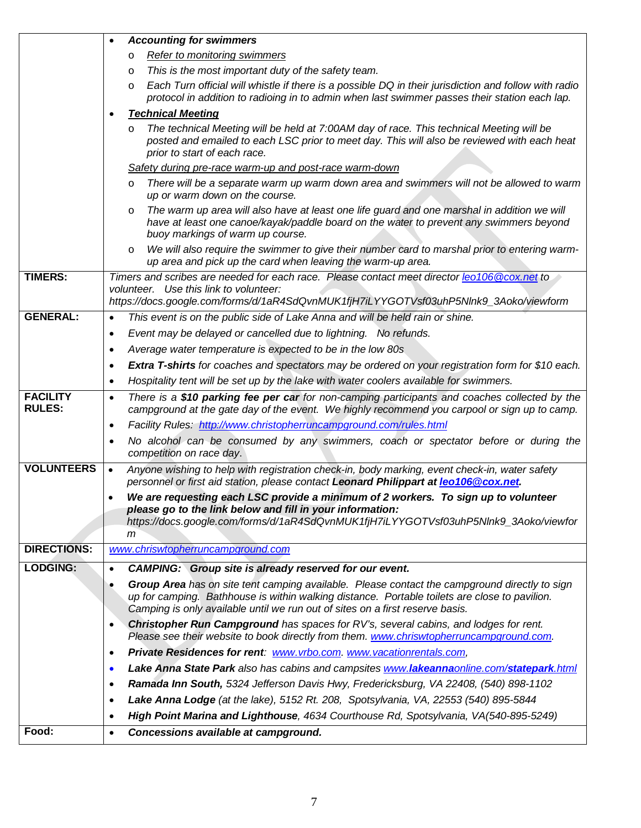|                                  |                                                                                                                                                                                                                                | <b>Accounting for swimmers</b>                                                                                                                                                                                                                                                  |  |  |  |
|----------------------------------|--------------------------------------------------------------------------------------------------------------------------------------------------------------------------------------------------------------------------------|---------------------------------------------------------------------------------------------------------------------------------------------------------------------------------------------------------------------------------------------------------------------------------|--|--|--|
|                                  |                                                                                                                                                                                                                                | Refer to monitoring swimmers<br>$\circ$                                                                                                                                                                                                                                         |  |  |  |
|                                  | O                                                                                                                                                                                                                              | This is the most important duty of the safety team.                                                                                                                                                                                                                             |  |  |  |
|                                  |                                                                                                                                                                                                                                | Each Turn official will whistle if there is a possible DQ in their jurisdiction and follow with radio<br>$\circ$                                                                                                                                                                |  |  |  |
|                                  |                                                                                                                                                                                                                                | protocol in addition to radioing in to admin when last swimmer passes their station each lap.                                                                                                                                                                                   |  |  |  |
|                                  |                                                                                                                                                                                                                                | <b>Technical Meeting</b>                                                                                                                                                                                                                                                        |  |  |  |
|                                  |                                                                                                                                                                                                                                | The technical Meeting will be held at 7:00AM day of race. This technical Meeting will be<br>$\circ$<br>posted and emailed to each LSC prior to meet day. This will also be reviewed with each heat<br>prior to start of each race.                                              |  |  |  |
|                                  |                                                                                                                                                                                                                                | Safety during pre-race warm-up and post-race warm-down                                                                                                                                                                                                                          |  |  |  |
|                                  |                                                                                                                                                                                                                                | There will be a separate warm up warm down area and swimmers will not be allowed to warm<br>$\circ$<br>up or warm down on the course.                                                                                                                                           |  |  |  |
|                                  |                                                                                                                                                                                                                                | The warm up area will also have at least one life guard and one marshal in addition we will<br>$\circ$<br>have at least one canoe/kayak/paddle board on the water to prevent any swimmers beyond<br>buoy markings of warm up course.                                            |  |  |  |
|                                  |                                                                                                                                                                                                                                | We will also require the swimmer to give their number card to marshal prior to entering warm-<br>$\circ$<br>up area and pick up the card when leaving the warm-up area.                                                                                                         |  |  |  |
| <b>TIMERS:</b>                   | Timers and scribes are needed for each race. Please contact meet director leo106@cox.net to<br>volunteer. Use this link to volunteer:<br>https://docs.google.com/forms/d/1aR4SdQvnMUK1fjH7iLYYGOTVsf03uhP5Nlnk9_3Aoko/viewform |                                                                                                                                                                                                                                                                                 |  |  |  |
| <b>GENERAL:</b>                  | $\bullet$                                                                                                                                                                                                                      | This event is on the public side of Lake Anna and will be held rain or shine.                                                                                                                                                                                                   |  |  |  |
|                                  | $\bullet$                                                                                                                                                                                                                      | Event may be delayed or cancelled due to lightning. No refunds.                                                                                                                                                                                                                 |  |  |  |
|                                  | $\bullet$                                                                                                                                                                                                                      | Average water temperature is expected to be in the low 80s                                                                                                                                                                                                                      |  |  |  |
|                                  | $\bullet$                                                                                                                                                                                                                      | <b>Extra T-shirts</b> for coaches and spectators may be ordered on your registration form for \$10 each.                                                                                                                                                                        |  |  |  |
|                                  | Hospitality tent will be set up by the lake with water coolers available for swimmers.<br>$\bullet$                                                                                                                            |                                                                                                                                                                                                                                                                                 |  |  |  |
| <b>FACILITY</b><br><b>RULES:</b> | $\bullet$                                                                                                                                                                                                                      | There is a \$10 parking fee per car for non-camping participants and coaches collected by the<br>campground at the gate day of the event. We highly recommend you carpool or sign up to camp.                                                                                   |  |  |  |
|                                  | $\bullet$                                                                                                                                                                                                                      | Facility Rules: http://www.christopherruncampground.com/rules.html                                                                                                                                                                                                              |  |  |  |
|                                  | $\bullet$                                                                                                                                                                                                                      | No alcohol can be consumed by any swimmers, coach or spectator before or during the<br>competition on race day.                                                                                                                                                                 |  |  |  |
| <b>VOLUNTEERS</b>                | $\bullet$                                                                                                                                                                                                                      | Anyone wishing to help with registration check-in, body marking, event check-in, water safety<br>personnel or first aid station, please contact Leonard Philippart at leo106@cox.net.                                                                                           |  |  |  |
|                                  | We are requesting each LSC provide a minimum of 2 workers. To sign up to volunteer<br>٠                                                                                                                                        |                                                                                                                                                                                                                                                                                 |  |  |  |
|                                  | please go to the link below and fill in your information:                                                                                                                                                                      |                                                                                                                                                                                                                                                                                 |  |  |  |
|                                  |                                                                                                                                                                                                                                | https://docs.google.com/forms/d/1aR4SdQvnMUK1fjH7iLYYGOTVsf03uhP5Nlnk9_3Aoko/viewfor<br>m                                                                                                                                                                                       |  |  |  |
| <b>DIRECTIONS:</b>               |                                                                                                                                                                                                                                | www.chriswtopherruncampground.com                                                                                                                                                                                                                                               |  |  |  |
| <b>LODGING:</b>                  | $\bullet$                                                                                                                                                                                                                      | CAMPING: Group site is already reserved for our event.                                                                                                                                                                                                                          |  |  |  |
|                                  | ٠                                                                                                                                                                                                                              | Group Area has on site tent camping available. Please contact the campground directly to sign<br>up for camping. Bathhouse is within walking distance. Portable toilets are close to pavilion.<br>Camping is only available until we run out of sites on a first reserve basis. |  |  |  |
|                                  | ٠                                                                                                                                                                                                                              | Christopher Run Campground has spaces for RV's, several cabins, and lodges for rent.<br>Please see their website to book directly from them. www.chriswtopherruncampground.com.                                                                                                 |  |  |  |
|                                  | $\bullet$                                                                                                                                                                                                                      | Private Residences for rent: www.vrbo.com. www.vacationrentals.com,                                                                                                                                                                                                             |  |  |  |
|                                  | $\bullet$                                                                                                                                                                                                                      | Lake Anna State Park also has cabins and campsites www.lakeannaonline.com/statepark.html                                                                                                                                                                                        |  |  |  |
|                                  | $\bullet$                                                                                                                                                                                                                      | Ramada Inn South, 5324 Jefferson Davis Hwy, Fredericksburg, VA 22408, (540) 898-1102                                                                                                                                                                                            |  |  |  |
|                                  | ٠                                                                                                                                                                                                                              | Lake Anna Lodge (at the lake), 5152 Rt. 208, Spotsylvania, VA, 22553 (540) 895-5844                                                                                                                                                                                             |  |  |  |
|                                  | $\bullet$                                                                                                                                                                                                                      | High Point Marina and Lighthouse, 4634 Courthouse Rd, Spotsylvania, VA(540-895-5249)                                                                                                                                                                                            |  |  |  |
| Food:                            | $\bullet$                                                                                                                                                                                                                      | Concessions available at campground.                                                                                                                                                                                                                                            |  |  |  |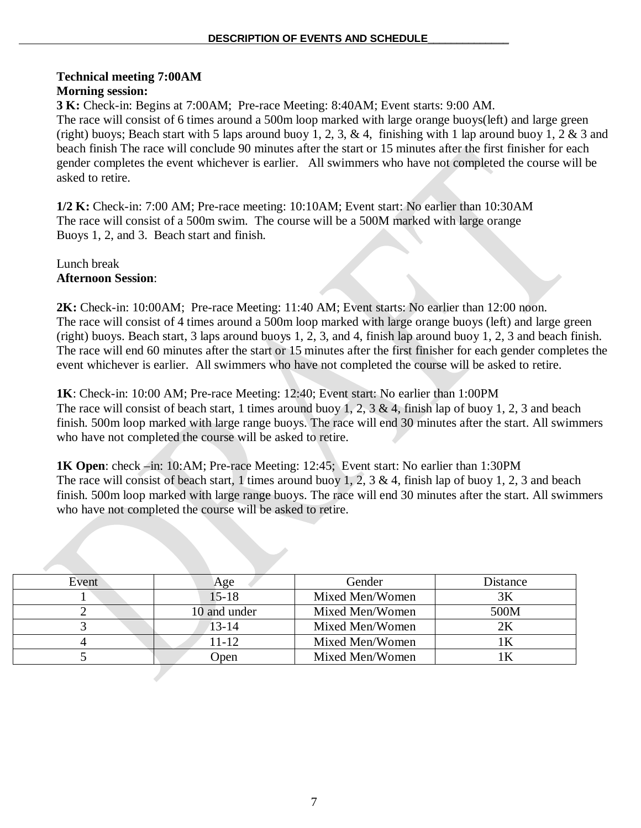# **Technical meeting 7:00AM**

## **Morning session:**

**3 K:** Check-in: Begins at 7:00AM; Pre-race Meeting: 8:40AM; Event starts: 9:00 AM. The race will consist of 6 times around a 500m loop marked with large orange buoys(left) and large green (right) buoys; Beach start with 5 laps around buoy 1, 2, 3, & 4, finishing with 1 lap around buoy 1, 2 & 3 and beach finish The race will conclude 90 minutes after the start or 15 minutes after the first finisher for each gender completes the event whichever is earlier. All swimmers who have not completed the course will be asked to retire.

**1/2 K:** Check-in: 7:00 AM; Pre-race meeting: 10:10AM; Event start: No earlier than 10:30AM The race will consist of a 500m swim. The course will be a 500M marked with large orange Buoys 1, 2, and 3. Beach start and finish.

Lunch break **Afternoon Session**:

**2K:** Check-in: 10:00AM; Pre-race Meeting: 11:40 AM; Event starts: No earlier than 12:00 noon. The race will consist of 4 times around a 500m loop marked with large orange buoys (left) and large green (right) buoys. Beach start, 3 laps around buoys 1, 2, 3, and 4, finish lap around buoy 1, 2, 3 and beach finish. The race will end 60 minutes after the start or 15 minutes after the first finisher for each gender completes the event whichever is earlier. All swimmers who have not completed the course will be asked to retire.

**1K**: Check-in: 10:00 AM; Pre-race Meeting: 12:40; Event start: No earlier than 1:00PM The race will consist of beach start, 1 times around buoy 1, 2, 3 & 4, finish lap of buoy 1, 2, 3 and beach finish. 500m loop marked with large range buoys. The race will end 30 minutes after the start. All swimmers who have not completed the course will be asked to retire.

**1K Open**: check –in: 10:AM; Pre-race Meeting: 12:45; Event start: No earlier than 1:30PM The race will consist of beach start, 1 times around buoy 1, 2, 3 & 4, finish lap of buoy 1, 2, 3 and beach finish. 500m loop marked with large range buoys. The race will end 30 minutes after the start. All swimmers who have not completed the course will be asked to retire.

| Event | Age          | Gender          | Distance |
|-------|--------------|-----------------|----------|
|       | $15 - 18$    | Mixed Men/Women | 3Κ       |
|       | 10 and under | Mixed Men/Women | 500M     |
|       | $13 - 14$    | Mixed Men/Women |          |
|       | 11-12        | Mixed Men/Women |          |
|       | <b>D</b> pen | Mixed Men/Women |          |